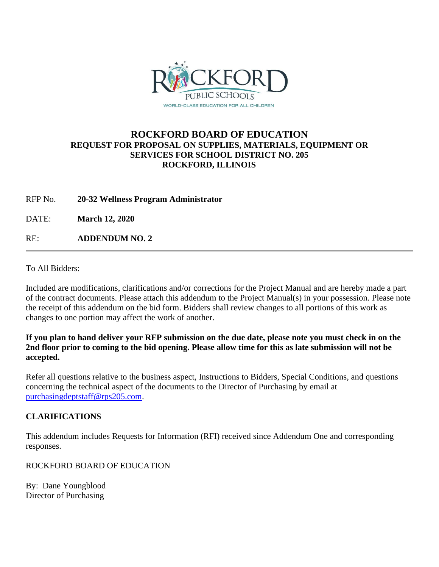

## **ROCKFORD BOARD OF EDUCATION REQUEST FOR PROPOSAL ON SUPPLIES, MATERIALS, EQUIPMENT OR SERVICES FOR SCHOOL DISTRICT NO. 205 ROCKFORD, ILLINOIS**

RFP No. **20-32 Wellness Program Administrator**

DATE: **March 12, 2020**

RE: **ADDENDUM NO. 2**

To All Bidders:

Included are modifications, clarifications and/or corrections for the Project Manual and are hereby made a part of the contract documents. Please attach this addendum to the Project Manual(s) in your possession. Please note the receipt of this addendum on the bid form. Bidders shall review changes to all portions of this work as changes to one portion may affect the work of another.

**If you plan to hand deliver your RFP submission on the due date, please note you must check in on the 2nd floor prior to coming to the bid opening. Please allow time for this as late submission will not be accepted.**

Refer all questions relative to the business aspect, Instructions to Bidders, Special Conditions, and questions concerning the technical aspect of the documents to the Director of Purchasing by email at [purchasingdeptstaff@rps205.com.](mailto:purchasingdeptstaff@rps205.com)

## **CLARIFICATIONS**

This addendum includes Requests for Information (RFI) received since Addendum One and corresponding responses.

ROCKFORD BOARD OF EDUCATION

By: Dane Youngblood Director of Purchasing